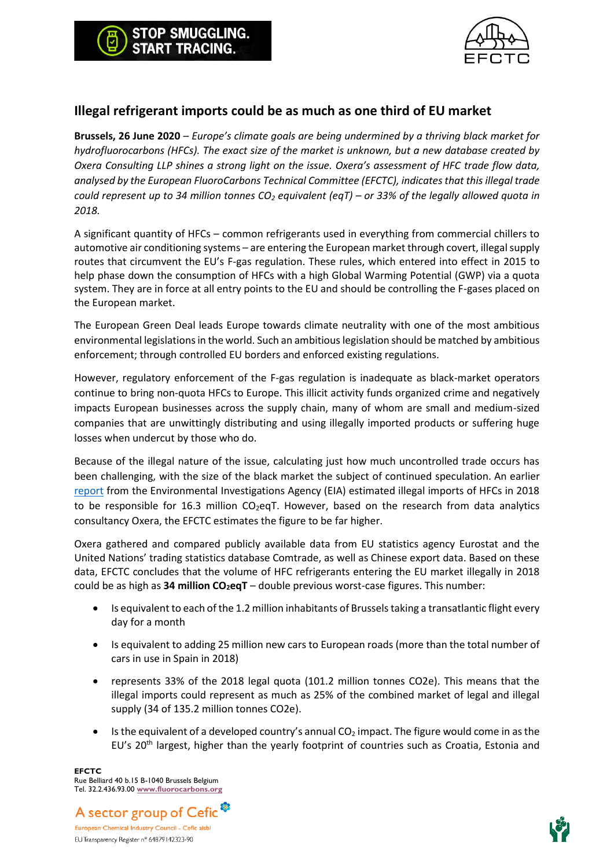

## **Illegal refrigerant imports could be as much as one third of EU market**

**Brussels, 26 June 2020** – *Europe's climate goals are being undermined by a thriving black market for hydrofluorocarbons (HFCs). The exact size of the market is unknown, but a new database created by Oxera Consulting LLP shines a strong light on the issue. Oxera's assessment of HFC trade flow data, analysed by the European FluoroCarbons Technical Committee (EFCTC), indicates that this illegal trade could represent up to 34 million tonnes CO<sup>2</sup> equivalent (eqT) – or 33% of the legally allowed quota in 2018.* 

A significant quantity of HFCs – common refrigerants used in everything from commercial chillers to automotive air conditioning systems – are entering the European market through covert, illegal supply routes that circumvent the EU's F-gas regulation. These rules, which entered into effect in 2015 to help phase down the consumption of HFCs with a high Global Warming Potential (GWP) via a quota system. They are in force at all entry points to the EU and should be controlling the F-gases placed on the European market.

The European Green Deal leads Europe towards climate neutrality with one of the most ambitious environmental legislations in the world. Such an ambitious legislation should be matched by ambitious enforcement; through controlled EU borders and enforced existing regulations.

However, regulatory enforcement of the F-gas regulation is inadequate as black-market operators continue to bring non-quota HFCs to Europe. This illicit activity funds organized crime and negatively impacts European businesses across the supply chain, many of whom are small and medium-sized companies that are unwittingly distributing and using illegally imported products or suffering huge losses when undercut by those who do.

Because of the illegal nature of the issue, calculating just how much uncontrolled trade occurs has been challenging, with the size of the black market the subject of continued speculation. An earlier [report](https://reports.eia-international.org/doorswideopen/) from the Environmental Investigations Agency (EIA) estimated illegal imports of HFCs in 2018 to be responsible for 16.3 million  $CO_2$ eqT. However, based on the research from data analytics consultancy Oxera, the EFCTC estimates the figure to be far higher.

Oxera gathered and compared publicly available data from EU statistics agency Eurostat and the United Nations' trading statistics database Comtrade, as well as Chinese export data. Based on these data, EFCTC concludes that the volume of HFC refrigerants entering the EU market illegally in 2018 could be as high as **34 million CO2eqT** – double previous worst-case figures. This number:

- Is equivalent to each of the 1.2 million inhabitants of Brussels taking a transatlantic flight every day for a month
- Is equivalent to adding 25 million new cars to European roads (more than the total number of cars in use in Spain in 2018)
- represents 33% of the 2018 legal quota (101.2 million tonnes CO2e). This means that the illegal imports could represent as much as 25% of the combined market of legal and illegal supply (34 of 135.2 million tonnes CO2e).
- Is the equivalent of a developed country's annual  $CO<sub>2</sub>$  impact. The figure would come in as the EU's  $20<sup>th</sup>$  largest, higher than the yearly footprint of countries such as Croatia, Estonia and

**EFCTC** Rue Belliard 40 b.15 B-1040 Brussels Belgium Tel. 32.2.436.93.00 **[www.fluorocarbons.org](http://www.fluorocarbons.org/)**



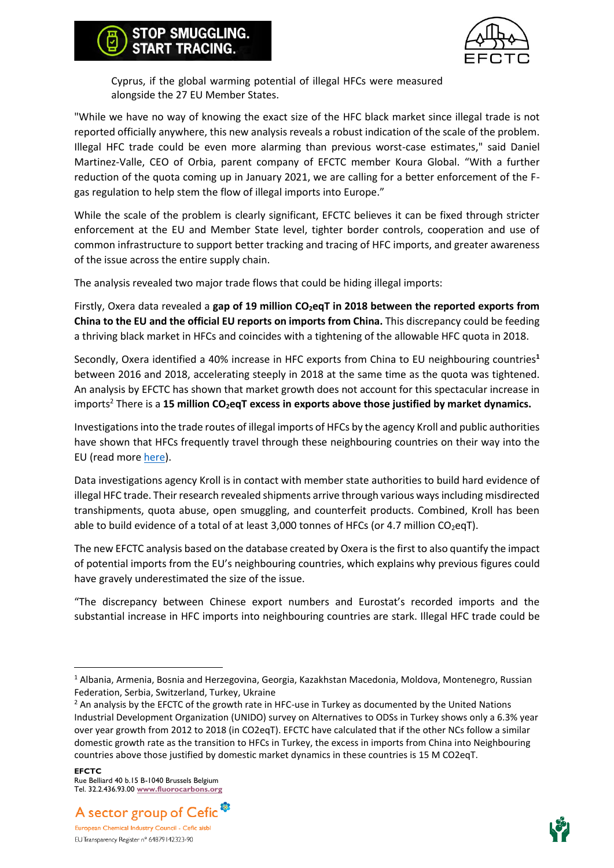## **STOP SMUGGLING. START TRACING.**



Cyprus, if the global warming potential of illegal HFCs were measured alongside the 27 EU Member States.

"While we have no way of knowing the exact size of the HFC black market since illegal trade is not reported officially anywhere, this new analysis reveals a robust indication of the scale of the problem. Illegal HFC trade could be even more alarming than previous worst-case estimates," said Daniel Martinez-Valle, CEO of Orbia, parent company of EFCTC member Koura Global. "With a further reduction of the quota coming up in January 2021, we are calling for a better enforcement of the Fgas regulation to help stem the flow of illegal imports into Europe."

While the scale of the problem is clearly significant, EFCTC believes it can be fixed through stricter enforcement at the EU and Member State level, tighter border controls, cooperation and use of common infrastructure to support better tracking and tracing of HFC imports, and greater awareness of the issue across the entire supply chain.

The analysis revealed two major trade flows that could be hiding illegal imports:

Firstly, Oxera data revealed a **gap of 19 million CO2eqT in 2018 between the reported exports from China to the EU and the official EU reports on imports from China.** This discrepancy could be feeding a thriving black market in HFCs and coincides with a tightening of the allowable HFC quota in 2018.

Secondly, Oxera identified a 40% increase in HFC exports from China to EU neighbouring countries**<sup>1</sup>** between 2016 and 2018, accelerating steeply in 2018 at the same time as the quota was tightened. An analysis by EFCTC has shown that market growth does not account for this spectacular increase in imports<sup>2</sup> There is a **15 million CO2eqT excess in exports above those justified by market dynamics.**

Investigations into the trade routes of illegal imports of HFCs by the agency Kroll and public authorities have shown that HFCs frequently travel through these neighbouring countries on their way into the EU (read mor[e here\)](https://stopillegalcooling.eu/wp-content/uploads/Press-release-Kroll_final_EN.pdf).

Data investigations agency Kroll is in contact with member state authorities to build hard evidence of illegal HFC trade. Their research revealed shipments arrive through various ways including misdirected transhipments, quota abuse, open smuggling, and counterfeit products. Combined, Kroll has been able to build evidence of a total of at least 3,000 tonnes of HFCs (or 4.7 million CO<sub>2</sub>eqT).

The new EFCTC analysis based on the database created by Oxera isthe first to also quantify the impact of potential imports from the EU's neighbouring countries, which explains why previous figures could have gravely underestimated the size of the issue.

"The discrepancy between Chinese export numbers and Eurostat's recorded imports and the substantial increase in HFC imports into neighbouring countries are stark. Illegal HFC trade could be





<sup>1</sup> Albania, Armenia, Bosnia and Herzegovina, Georgia, Kazakhstan Macedonia, Moldova, Montenegro, Russian Federation, Serbia, Switzerland, Turkey, Ukraine

<sup>&</sup>lt;sup>2</sup> An analysis by the EFCTC of the growth rate in HFC-use in Turkey as documented by the United Nations Industrial Development Organization (UNIDO) survey on Alternatives to ODSs in Turkey shows only a 6.3% year over year growth from 2012 to 2018 (in CO2eqT). EFCTC have calculated that if the other NCs follow a similar domestic growth rate as the transition to HFCs in Turkey, the excess in imports from China into Neighbouring countries above those justified by domestic market dynamics in these countries is 15 M CO2eqT.